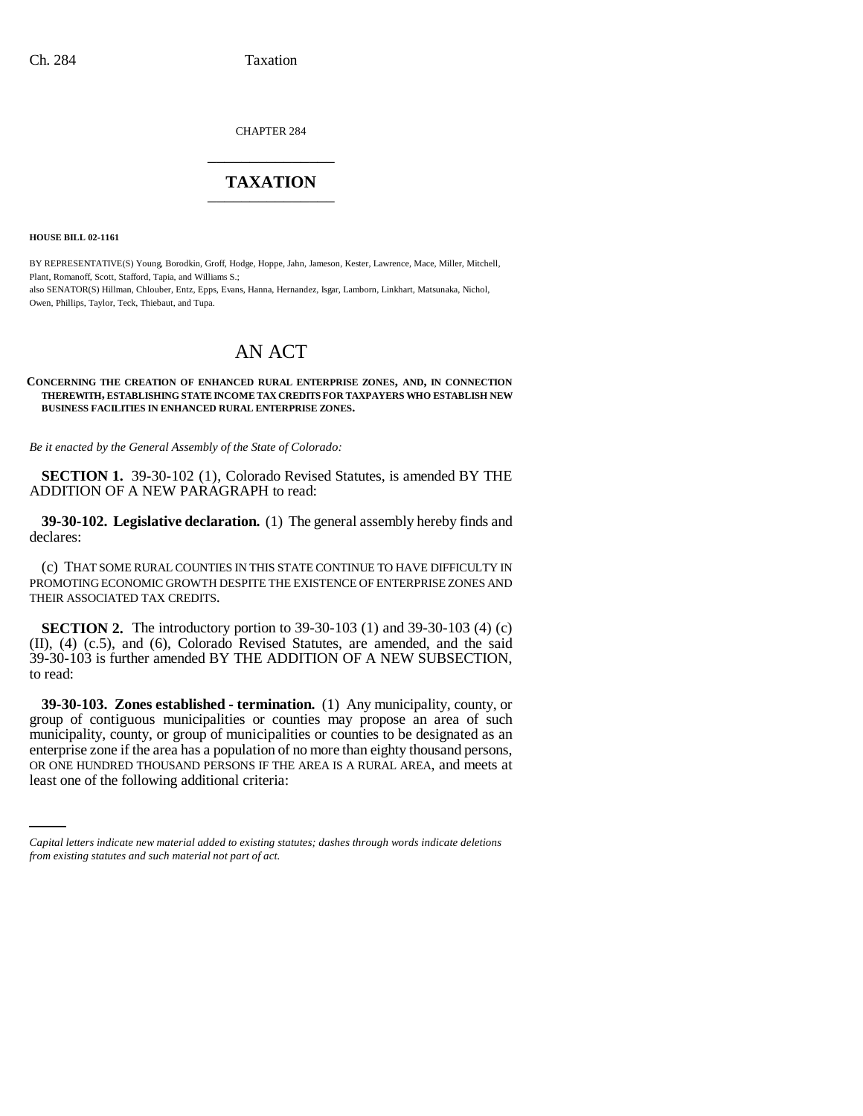CHAPTER 284 \_\_\_\_\_\_\_\_\_\_\_\_\_\_\_

## **TAXATION** \_\_\_\_\_\_\_\_\_\_\_\_\_\_\_

**HOUSE BILL 02-1161**

BY REPRESENTATIVE(S) Young, Borodkin, Groff, Hodge, Hoppe, Jahn, Jameson, Kester, Lawrence, Mace, Miller, Mitchell, Plant, Romanoff, Scott, Stafford, Tapia, and Williams S.; also SENATOR(S) Hillman, Chlouber, Entz, Epps, Evans, Hanna, Hernandez, Isgar, Lamborn, Linkhart, Matsunaka, Nichol, Owen, Phillips, Taylor, Teck, Thiebaut, and Tupa.

# AN ACT

### **CONCERNING THE CREATION OF ENHANCED RURAL ENTERPRISE ZONES, AND, IN CONNECTION THEREWITH, ESTABLISHING STATE INCOME TAX CREDITS FOR TAXPAYERS WHO ESTABLISH NEW BUSINESS FACILITIES IN ENHANCED RURAL ENTERPRISE ZONES.**

*Be it enacted by the General Assembly of the State of Colorado:*

**SECTION 1.** 39-30-102 (1), Colorado Revised Statutes, is amended BY THE ADDITION OF A NEW PARAGRAPH to read:

**39-30-102. Legislative declaration.** (1) The general assembly hereby finds and declares:

(c) THAT SOME RURAL COUNTIES IN THIS STATE CONTINUE TO HAVE DIFFICULTY IN PROMOTING ECONOMIC GROWTH DESPITE THE EXISTENCE OF ENTERPRISE ZONES AND THEIR ASSOCIATED TAX CREDITS.

**SECTION 2.** The introductory portion to 39-30-103 (1) and 39-30-103 (4) (c) (II), (4) (c.5), and (6), Colorado Revised Statutes, are amended, and the said 39-30-103 is further amended BY THE ADDITION OF A NEW SUBSECTION, to read:

enterprise zone if the area has a population of no more than eighty thousand persons, **39-30-103. Zones established - termination.** (1) Any municipality, county, or group of contiguous municipalities or counties may propose an area of such municipality, county, or group of municipalities or counties to be designated as an OR ONE HUNDRED THOUSAND PERSONS IF THE AREA IS A RURAL AREA, and meets at least one of the following additional criteria:

*Capital letters indicate new material added to existing statutes; dashes through words indicate deletions from existing statutes and such material not part of act.*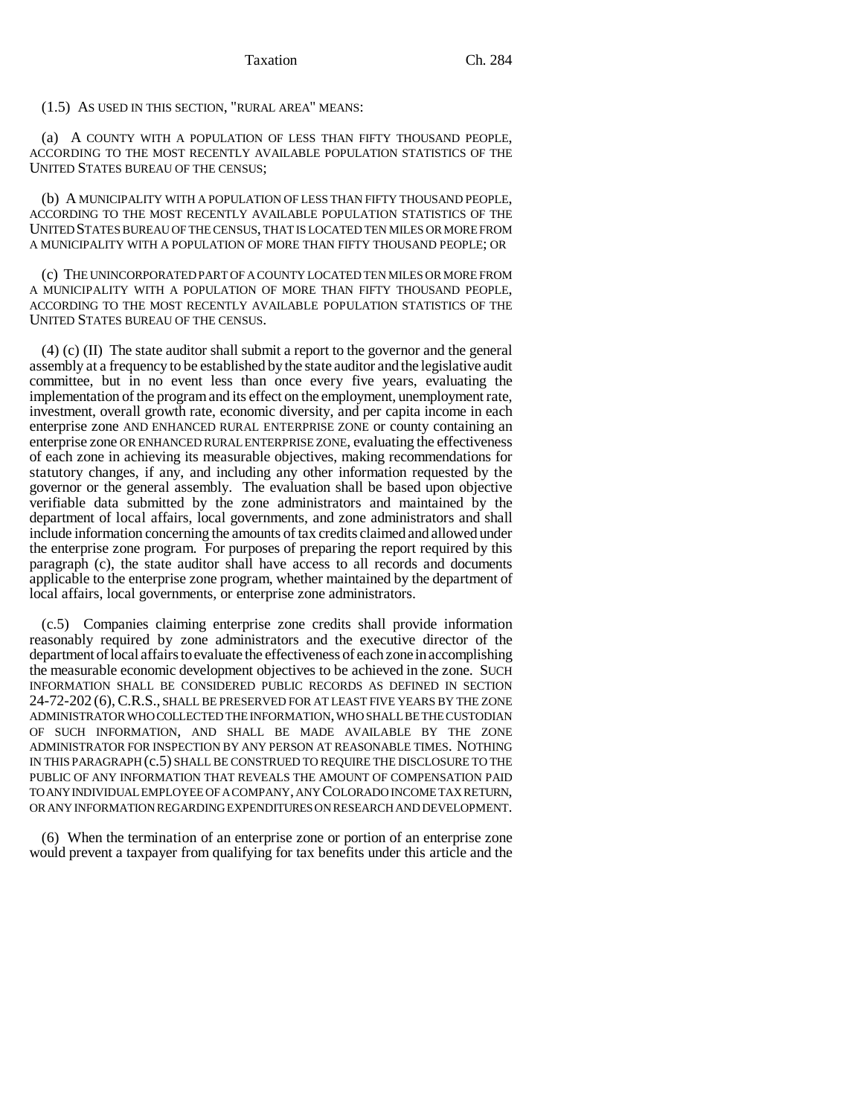Taxation Ch. 284

(1.5) AS USED IN THIS SECTION, "RURAL AREA" MEANS:

(a) A COUNTY WITH A POPULATION OF LESS THAN FIFTY THOUSAND PEOPLE, ACCORDING TO THE MOST RECENTLY AVAILABLE POPULATION STATISTICS OF THE UNITED STATES BUREAU OF THE CENSUS;

(b) A MUNICIPALITY WITH A POPULATION OF LESS THAN FIFTY THOUSAND PEOPLE, ACCORDING TO THE MOST RECENTLY AVAILABLE POPULATION STATISTICS OF THE UNITED STATES BUREAU OF THE CENSUS, THAT IS LOCATED TEN MILES OR MORE FROM A MUNICIPALITY WITH A POPULATION OF MORE THAN FIFTY THOUSAND PEOPLE; OR

(c) THE UNINCORPORATED PART OF A COUNTY LOCATED TEN MILES OR MORE FROM A MUNICIPALITY WITH A POPULATION OF MORE THAN FIFTY THOUSAND PEOPLE, ACCORDING TO THE MOST RECENTLY AVAILABLE POPULATION STATISTICS OF THE UNITED STATES BUREAU OF THE CENSUS.

(4) (c) (II) The state auditor shall submit a report to the governor and the general assembly at a frequency to be established by the state auditor and the legislative audit committee, but in no event less than once every five years, evaluating the implementation of the program and its effect on the employment, unemployment rate, investment, overall growth rate, economic diversity, and per capita income in each enterprise zone AND ENHANCED RURAL ENTERPRISE ZONE or county containing an enterprise zone OR ENHANCED RURAL ENTERPRISE ZONE, evaluating the effectiveness of each zone in achieving its measurable objectives, making recommendations for statutory changes, if any, and including any other information requested by the governor or the general assembly. The evaluation shall be based upon objective verifiable data submitted by the zone administrators and maintained by the department of local affairs, local governments, and zone administrators and shall include information concerning the amounts of tax credits claimed and allowed under the enterprise zone program. For purposes of preparing the report required by this paragraph (c), the state auditor shall have access to all records and documents applicable to the enterprise zone program, whether maintained by the department of local affairs, local governments, or enterprise zone administrators.

(c.5) Companies claiming enterprise zone credits shall provide information reasonably required by zone administrators and the executive director of the department of local affairs to evaluate the effectiveness of each zone in accomplishing the measurable economic development objectives to be achieved in the zone. SUCH INFORMATION SHALL BE CONSIDERED PUBLIC RECORDS AS DEFINED IN SECTION 24-72-202 (6),C.R.S., SHALL BE PRESERVED FOR AT LEAST FIVE YEARS BY THE ZONE ADMINISTRATOR WHO COLLECTED THE INFORMATION, WHO SHALL BE THE CUSTODIAN OF SUCH INFORMATION, AND SHALL BE MADE AVAILABLE BY THE ZONE ADMINISTRATOR FOR INSPECTION BY ANY PERSON AT REASONABLE TIMES. NOTHING IN THIS PARAGRAPH (c.5) SHALL BE CONSTRUED TO REQUIRE THE DISCLOSURE TO THE PUBLIC OF ANY INFORMATION THAT REVEALS THE AMOUNT OF COMPENSATION PAID TO ANY INDIVIDUAL EMPLOYEE OF A COMPANY, ANY COLORADO INCOME TAX RETURN, OR ANY INFORMATION REGARDING EXPENDITURES ON RESEARCH AND DEVELOPMENT.

(6) When the termination of an enterprise zone or portion of an enterprise zone would prevent a taxpayer from qualifying for tax benefits under this article and the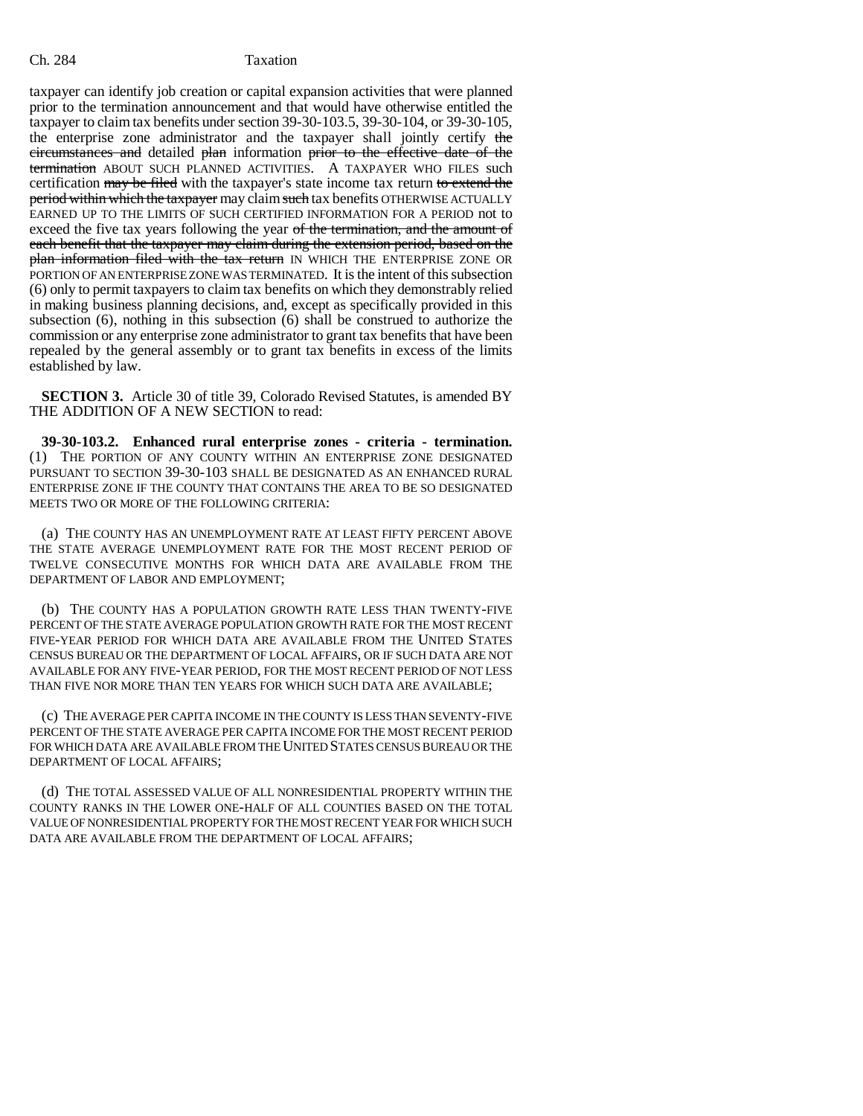taxpayer can identify job creation or capital expansion activities that were planned prior to the termination announcement and that would have otherwise entitled the taxpayer to claim tax benefits under section 39-30-103.5, 39-30-104, or 39-30-105, the enterprise zone administrator and the taxpayer shall jointly certify the circumstances and detailed plan information prior to the effective date of the termination ABOUT SUCH PLANNED ACTIVITIES. A TAXPAYER WHO FILES such certification may be filed with the taxpayer's state income tax return to extend the period within which the taxpayer may claim such tax benefits OTHERWISE ACTUALLY EARNED UP TO THE LIMITS OF SUCH CERTIFIED INFORMATION FOR A PERIOD not to exceed the five tax years following the year of the termination, and the amount of each benefit that the taxpayer may claim during the extension period, based on the plan information filed with the tax return IN WHICH THE ENTERPRISE ZONE OR PORTION OF AN ENTERPRISE ZONE WAS TERMINATED. It is the intent of this subsection (6) only to permit taxpayers to claim tax benefits on which they demonstrably relied in making business planning decisions, and, except as specifically provided in this subsection (6), nothing in this subsection (6) shall be construed to authorize the commission or any enterprise zone administrator to grant tax benefits that have been repealed by the general assembly or to grant tax benefits in excess of the limits established by law.

**SECTION 3.** Article 30 of title 39, Colorado Revised Statutes, is amended BY THE ADDITION OF A NEW SECTION to read:

**39-30-103.2. Enhanced rural enterprise zones - criteria - termination.** (1) THE PORTION OF ANY COUNTY WITHIN AN ENTERPRISE ZONE DESIGNATED PURSUANT TO SECTION 39-30-103 SHALL BE DESIGNATED AS AN ENHANCED RURAL ENTERPRISE ZONE IF THE COUNTY THAT CONTAINS THE AREA TO BE SO DESIGNATED MEETS TWO OR MORE OF THE FOLLOWING CRITERIA:

(a) THE COUNTY HAS AN UNEMPLOYMENT RATE AT LEAST FIFTY PERCENT ABOVE THE STATE AVERAGE UNEMPLOYMENT RATE FOR THE MOST RECENT PERIOD OF TWELVE CONSECUTIVE MONTHS FOR WHICH DATA ARE AVAILABLE FROM THE DEPARTMENT OF LABOR AND EMPLOYMENT;

(b) THE COUNTY HAS A POPULATION GROWTH RATE LESS THAN TWENTY-FIVE PERCENT OF THE STATE AVERAGE POPULATION GROWTH RATE FOR THE MOST RECENT FIVE-YEAR PERIOD FOR WHICH DATA ARE AVAILABLE FROM THE UNITED STATES CENSUS BUREAU OR THE DEPARTMENT OF LOCAL AFFAIRS, OR IF SUCH DATA ARE NOT AVAILABLE FOR ANY FIVE-YEAR PERIOD, FOR THE MOST RECENT PERIOD OF NOT LESS THAN FIVE NOR MORE THAN TEN YEARS FOR WHICH SUCH DATA ARE AVAILABLE;

(c) THE AVERAGE PER CAPITA INCOME IN THE COUNTY IS LESS THAN SEVENTY-FIVE PERCENT OF THE STATE AVERAGE PER CAPITA INCOME FOR THE MOST RECENT PERIOD FOR WHICH DATA ARE AVAILABLE FROM THE UNITED STATES CENSUS BUREAU OR THE DEPARTMENT OF LOCAL AFFAIRS;

(d) THE TOTAL ASSESSED VALUE OF ALL NONRESIDENTIAL PROPERTY WITHIN THE COUNTY RANKS IN THE LOWER ONE-HALF OF ALL COUNTIES BASED ON THE TOTAL VALUE OF NONRESIDENTIAL PROPERTY FOR THE MOST RECENT YEAR FOR WHICH SUCH DATA ARE AVAILABLE FROM THE DEPARTMENT OF LOCAL AFFAIRS;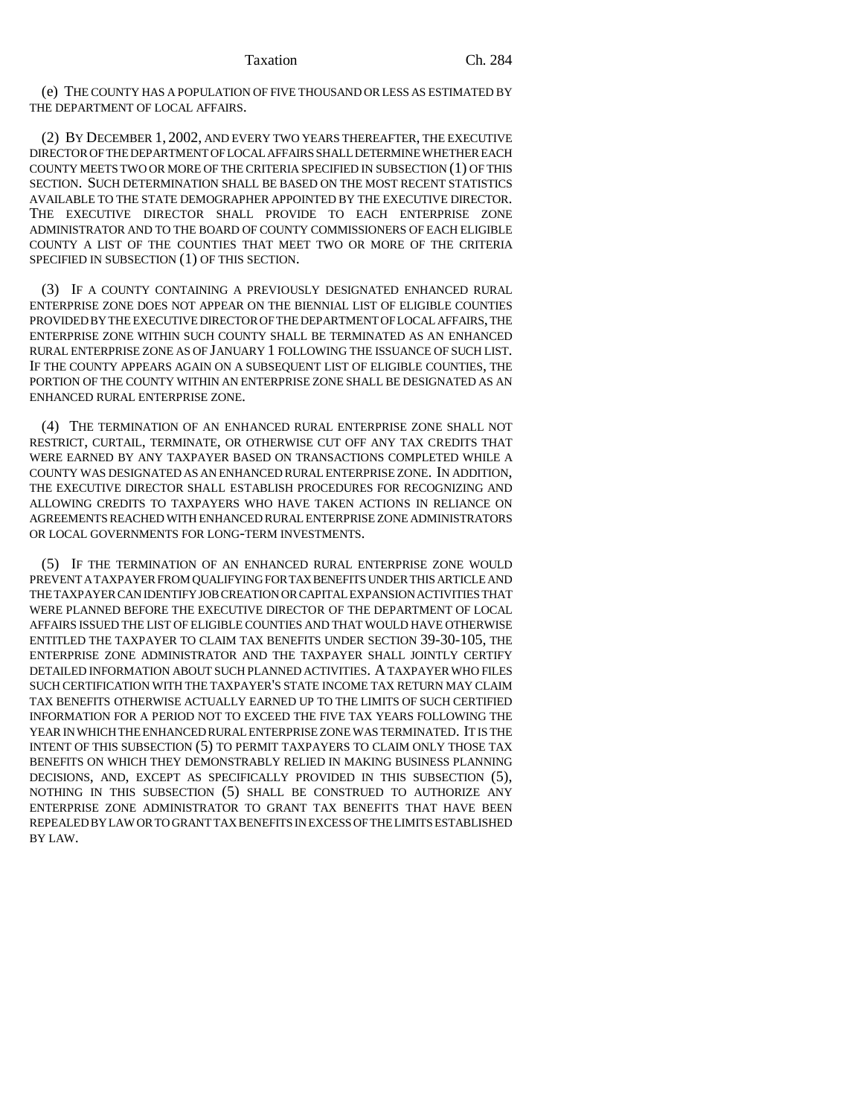(e) THE COUNTY HAS A POPULATION OF FIVE THOUSAND OR LESS AS ESTIMATED BY THE DEPARTMENT OF LOCAL AFFAIRS.

(2) BY DECEMBER 1, 2002, AND EVERY TWO YEARS THEREAFTER, THE EXECUTIVE DIRECTOR OF THE DEPARTMENT OF LOCAL AFFAIRS SHALL DETERMINE WHETHER EACH COUNTY MEETS TWO OR MORE OF THE CRITERIA SPECIFIED IN SUBSECTION (1) OF THIS SECTION. SUCH DETERMINATION SHALL BE BASED ON THE MOST RECENT STATISTICS AVAILABLE TO THE STATE DEMOGRAPHER APPOINTED BY THE EXECUTIVE DIRECTOR. THE EXECUTIVE DIRECTOR SHALL PROVIDE TO EACH ENTERPRISE ZONE ADMINISTRATOR AND TO THE BOARD OF COUNTY COMMISSIONERS OF EACH ELIGIBLE COUNTY A LIST OF THE COUNTIES THAT MEET TWO OR MORE OF THE CRITERIA SPECIFIED IN SUBSECTION (1) OF THIS SECTION.

(3) IF A COUNTY CONTAINING A PREVIOUSLY DESIGNATED ENHANCED RURAL ENTERPRISE ZONE DOES NOT APPEAR ON THE BIENNIAL LIST OF ELIGIBLE COUNTIES PROVIDED BY THE EXECUTIVE DIRECTOR OF THE DEPARTMENT OF LOCAL AFFAIRS, THE ENTERPRISE ZONE WITHIN SUCH COUNTY SHALL BE TERMINATED AS AN ENHANCED RURAL ENTERPRISE ZONE AS OF JANUARY 1 FOLLOWING THE ISSUANCE OF SUCH LIST. IF THE COUNTY APPEARS AGAIN ON A SUBSEQUENT LIST OF ELIGIBLE COUNTIES, THE PORTION OF THE COUNTY WITHIN AN ENTERPRISE ZONE SHALL BE DESIGNATED AS AN ENHANCED RURAL ENTERPRISE ZONE.

(4) THE TERMINATION OF AN ENHANCED RURAL ENTERPRISE ZONE SHALL NOT RESTRICT, CURTAIL, TERMINATE, OR OTHERWISE CUT OFF ANY TAX CREDITS THAT WERE EARNED BY ANY TAXPAYER BASED ON TRANSACTIONS COMPLETED WHILE A COUNTY WAS DESIGNATED AS AN ENHANCED RURAL ENTERPRISE ZONE. IN ADDITION, THE EXECUTIVE DIRECTOR SHALL ESTABLISH PROCEDURES FOR RECOGNIZING AND ALLOWING CREDITS TO TAXPAYERS WHO HAVE TAKEN ACTIONS IN RELIANCE ON AGREEMENTS REACHED WITH ENHANCED RURAL ENTERPRISE ZONE ADMINISTRATORS OR LOCAL GOVERNMENTS FOR LONG-TERM INVESTMENTS.

(5) IF THE TERMINATION OF AN ENHANCED RURAL ENTERPRISE ZONE WOULD PREVENT A TAXPAYER FROM QUALIFYING FOR TAX BENEFITS UNDER THIS ARTICLE AND THE TAXPAYER CAN IDENTIFY JOB CREATION OR CAPITAL EXPANSION ACTIVITIES THAT WERE PLANNED BEFORE THE EXECUTIVE DIRECTOR OF THE DEPARTMENT OF LOCAL AFFAIRS ISSUED THE LIST OF ELIGIBLE COUNTIES AND THAT WOULD HAVE OTHERWISE ENTITLED THE TAXPAYER TO CLAIM TAX BENEFITS UNDER SECTION 39-30-105, THE ENTERPRISE ZONE ADMINISTRATOR AND THE TAXPAYER SHALL JOINTLY CERTIFY DETAILED INFORMATION ABOUT SUCH PLANNED ACTIVITIES. A TAXPAYER WHO FILES SUCH CERTIFICATION WITH THE TAXPAYER'S STATE INCOME TAX RETURN MAY CLAIM TAX BENEFITS OTHERWISE ACTUALLY EARNED UP TO THE LIMITS OF SUCH CERTIFIED INFORMATION FOR A PERIOD NOT TO EXCEED THE FIVE TAX YEARS FOLLOWING THE YEAR IN WHICH THE ENHANCED RURAL ENTERPRISE ZONE WAS TERMINATED. IT IS THE INTENT OF THIS SUBSECTION (5) TO PERMIT TAXPAYERS TO CLAIM ONLY THOSE TAX BENEFITS ON WHICH THEY DEMONSTRABLY RELIED IN MAKING BUSINESS PLANNING DECISIONS, AND, EXCEPT AS SPECIFICALLY PROVIDED IN THIS SUBSECTION (5), NOTHING IN THIS SUBSECTION (5) SHALL BE CONSTRUED TO AUTHORIZE ANY ENTERPRISE ZONE ADMINISTRATOR TO GRANT TAX BENEFITS THAT HAVE BEEN REPEALED BY LAW OR TO GRANT TAX BENEFITS IN EXCESS OF THE LIMITS ESTABLISHED BY LAW.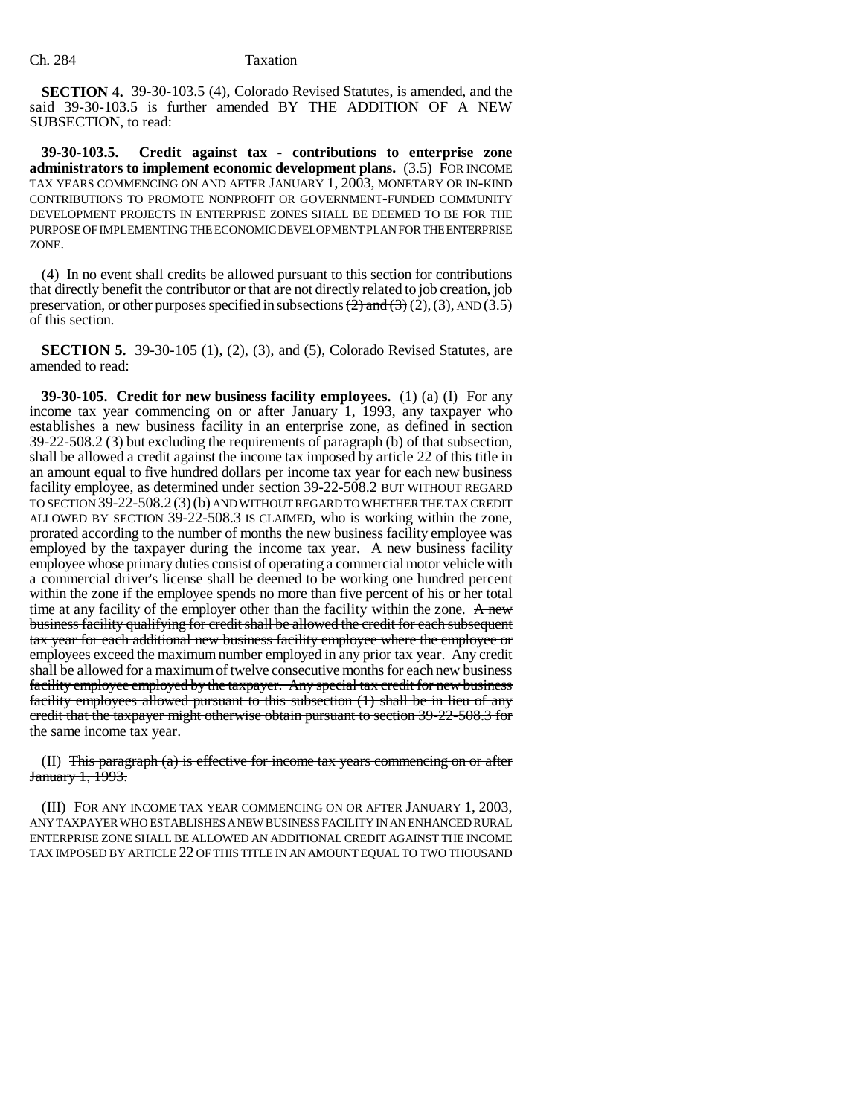**SECTION 4.** 39-30-103.5 (4), Colorado Revised Statutes, is amended, and the said 39-30-103.5 is further amended BY THE ADDITION OF A NEW SUBSECTION, to read:

**39-30-103.5. Credit against tax - contributions to enterprise zone administrators to implement economic development plans.** (3.5) FOR INCOME TAX YEARS COMMENCING ON AND AFTER JANUARY 1, 2003, MONETARY OR IN-KIND CONTRIBUTIONS TO PROMOTE NONPROFIT OR GOVERNMENT-FUNDED COMMUNITY DEVELOPMENT PROJECTS IN ENTERPRISE ZONES SHALL BE DEEMED TO BE FOR THE PURPOSE OF IMPLEMENTING THE ECONOMIC DEVELOPMENT PLAN FOR THE ENTERPRISE ZONE.

(4) In no event shall credits be allowed pursuant to this section for contributions that directly benefit the contributor or that are not directly related to job creation, job preservation, or other purposes specified in subsections  $(2)$  and  $(3)$  (2), (3), AND (3.5) of this section.

**SECTION 5.** 39-30-105 (1), (2), (3), and (5), Colorado Revised Statutes, are amended to read:

**39-30-105. Credit for new business facility employees.** (1) (a) (I) For any income tax year commencing on or after January 1, 1993, any taxpayer who establishes a new business facility in an enterprise zone, as defined in section 39-22-508.2 (3) but excluding the requirements of paragraph (b) of that subsection, shall be allowed a credit against the income tax imposed by article 22 of this title in an amount equal to five hundred dollars per income tax year for each new business facility employee, as determined under section 39-22-508.2 BUT WITHOUT REGARD TO SECTION 39-22-508.2 (3)(b) AND WITHOUT REGARD TO WHETHER THE TAX CREDIT ALLOWED BY SECTION 39-22-508.3 IS CLAIMED, who is working within the zone, prorated according to the number of months the new business facility employee was employed by the taxpayer during the income tax year. A new business facility employee whose primary duties consist of operating a commercial motor vehicle with a commercial driver's license shall be deemed to be working one hundred percent within the zone if the employee spends no more than five percent of his or her total time at any facility of the employer other than the facility within the zone.  $A$  new business facility qualifying for credit shall be allowed the credit for each subsequent tax year for each additional new business facility employee where the employee or employees exceed the maximum number employed in any prior tax year. Any credit shall be allowed for a maximum of twelve consecutive months for each new business facility employee employed by the taxpayer. Any special tax credit for new business facility employees allowed pursuant to this subsection (1) shall be in lieu of any credit that the taxpayer might otherwise obtain pursuant to section 39-22-508.3 for the same income tax year.

(II) This paragraph  $(a)$  is effective for income tax years commencing on or after January 1, 1993.

(III) FOR ANY INCOME TAX YEAR COMMENCING ON OR AFTER JANUARY 1, 2003, ANY TAXPAYER WHO ESTABLISHES A NEW BUSINESS FACILITY IN AN ENHANCED RURAL ENTERPRISE ZONE SHALL BE ALLOWED AN ADDITIONAL CREDIT AGAINST THE INCOME TAX IMPOSED BY ARTICLE 22 OF THIS TITLE IN AN AMOUNT EQUAL TO TWO THOUSAND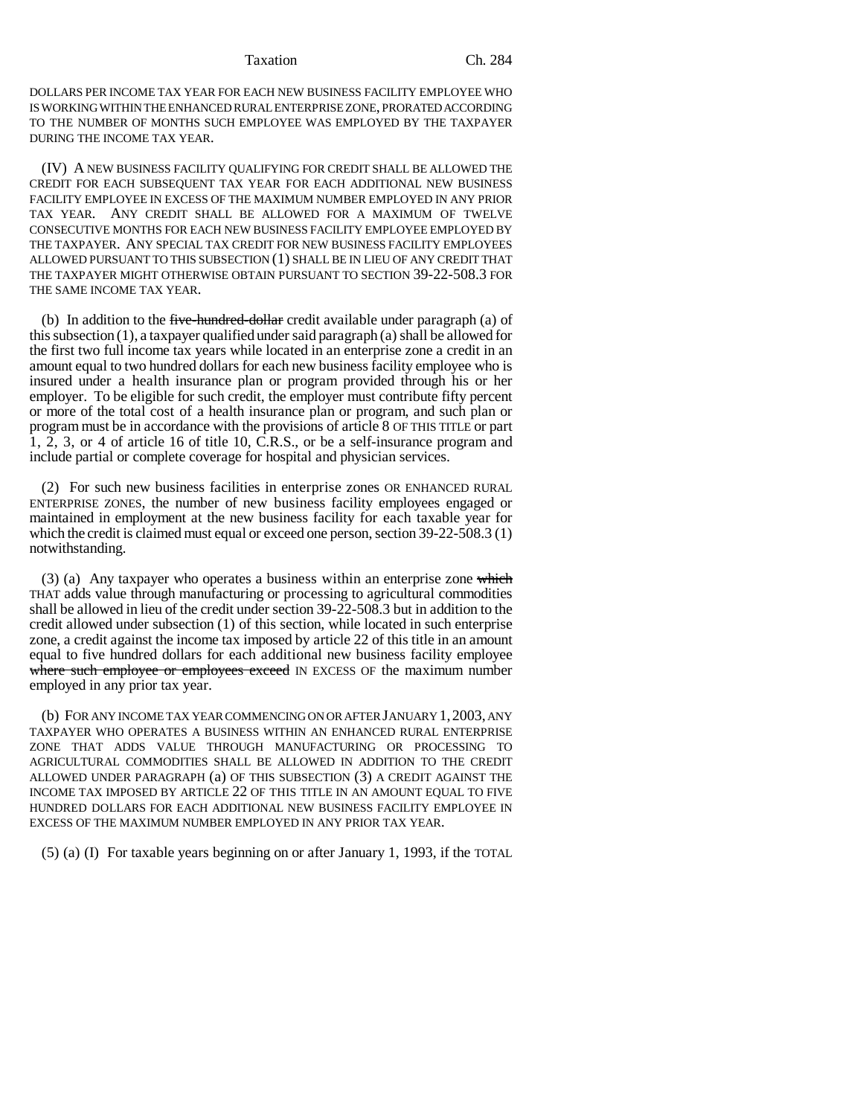### Taxation Ch. 284

DOLLARS PER INCOME TAX YEAR FOR EACH NEW BUSINESS FACILITY EMPLOYEE WHO IS WORKING WITHIN THE ENHANCED RURAL ENTERPRISE ZONE, PRORATED ACCORDING TO THE NUMBER OF MONTHS SUCH EMPLOYEE WAS EMPLOYED BY THE TAXPAYER DURING THE INCOME TAX YEAR.

(IV) A NEW BUSINESS FACILITY QUALIFYING FOR CREDIT SHALL BE ALLOWED THE CREDIT FOR EACH SUBSEQUENT TAX YEAR FOR EACH ADDITIONAL NEW BUSINESS FACILITY EMPLOYEE IN EXCESS OF THE MAXIMUM NUMBER EMPLOYED IN ANY PRIOR TAX YEAR. ANY CREDIT SHALL BE ALLOWED FOR A MAXIMUM OF TWELVE CONSECUTIVE MONTHS FOR EACH NEW BUSINESS FACILITY EMPLOYEE EMPLOYED BY THE TAXPAYER. ANY SPECIAL TAX CREDIT FOR NEW BUSINESS FACILITY EMPLOYEES ALLOWED PURSUANT TO THIS SUBSECTION (1) SHALL BE IN LIEU OF ANY CREDIT THAT THE TAXPAYER MIGHT OTHERWISE OBTAIN PURSUANT TO SECTION 39-22-508.3 FOR THE SAME INCOME TAX YEAR.

(b) In addition to the five-hundred-dollar credit available under paragraph (a) of this subsection (1), a taxpayer qualified under said paragraph (a) shall be allowed for the first two full income tax years while located in an enterprise zone a credit in an amount equal to two hundred dollars for each new business facility employee who is insured under a health insurance plan or program provided through his or her employer. To be eligible for such credit, the employer must contribute fifty percent or more of the total cost of a health insurance plan or program, and such plan or program must be in accordance with the provisions of article 8 OF THIS TITLE or part 1, 2, 3, or 4 of article 16 of title 10, C.R.S., or be a self-insurance program and include partial or complete coverage for hospital and physician services.

(2) For such new business facilities in enterprise zones OR ENHANCED RURAL ENTERPRISE ZONES, the number of new business facility employees engaged or maintained in employment at the new business facility for each taxable year for which the credit is claimed must equal or exceed one person, section 39-22-508.3 (1) notwithstanding.

(3) (a) Any taxpayer who operates a business within an enterprise zone which THAT adds value through manufacturing or processing to agricultural commodities shall be allowed in lieu of the credit under section 39-22-508.3 but in addition to the credit allowed under subsection (1) of this section, while located in such enterprise zone, a credit against the income tax imposed by article 22 of this title in an amount equal to five hundred dollars for each additional new business facility employee where such employee or employees exceed IN EXCESS OF the maximum number employed in any prior tax year.

(b) FOR ANY INCOME TAX YEAR COMMENCING ON OR AFTER JANUARY 1,2003, ANY TAXPAYER WHO OPERATES A BUSINESS WITHIN AN ENHANCED RURAL ENTERPRISE ZONE THAT ADDS VALUE THROUGH MANUFACTURING OR PROCESSING TO AGRICULTURAL COMMODITIES SHALL BE ALLOWED IN ADDITION TO THE CREDIT ALLOWED UNDER PARAGRAPH (a) OF THIS SUBSECTION (3) A CREDIT AGAINST THE INCOME TAX IMPOSED BY ARTICLE 22 OF THIS TITLE IN AN AMOUNT EQUAL TO FIVE HUNDRED DOLLARS FOR EACH ADDITIONAL NEW BUSINESS FACILITY EMPLOYEE IN EXCESS OF THE MAXIMUM NUMBER EMPLOYED IN ANY PRIOR TAX YEAR.

(5) (a) (I) For taxable years beginning on or after January 1, 1993, if the TOTAL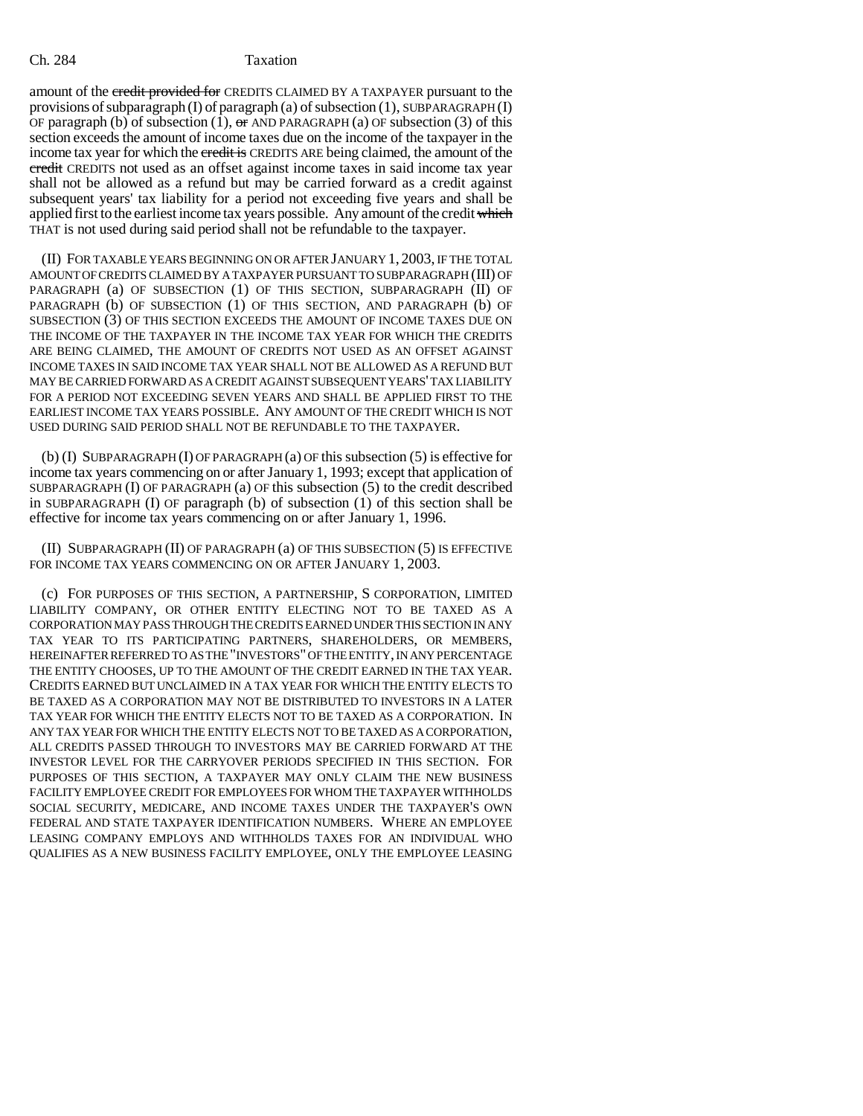### Ch. 284 Taxation

amount of the credit provided for CREDITS CLAIMED BY A TAXPAYER pursuant to the provisions of subparagraph (I) of paragraph (a) of subsection (1), SUBPARAGRAPH  $(I)$ OF paragraph (b) of subsection (1),  $\sigma$  AND PARAGRAPH (a) OF subsection (3) of this section exceeds the amount of income taxes due on the income of the taxpayer in the income tax year for which the credit is CREDITS ARE being claimed, the amount of the credit CREDITS not used as an offset against income taxes in said income tax year shall not be allowed as a refund but may be carried forward as a credit against subsequent years' tax liability for a period not exceeding five years and shall be applied first to the earliest income tax years possible. Any amount of the credit which THAT is not used during said period shall not be refundable to the taxpayer.

(II) FOR TAXABLE YEARS BEGINNING ON OR AFTER JANUARY 1, 2003, IF THE TOTAL AMOUNT OF CREDITS CLAIMED BY A TAXPAYER PURSUANT TO SUBPARAGRAPH (III) OF PARAGRAPH (a) OF SUBSECTION (1) OF THIS SECTION, SUBPARAGRAPH (II) OF PARAGRAPH (b) OF SUBSECTION (1) OF THIS SECTION, AND PARAGRAPH (b) OF SUBSECTION (3) OF THIS SECTION EXCEEDS THE AMOUNT OF INCOME TAXES DUE ON THE INCOME OF THE TAXPAYER IN THE INCOME TAX YEAR FOR WHICH THE CREDITS ARE BEING CLAIMED, THE AMOUNT OF CREDITS NOT USED AS AN OFFSET AGAINST INCOME TAXES IN SAID INCOME TAX YEAR SHALL NOT BE ALLOWED AS A REFUND BUT MAY BE CARRIED FORWARD AS A CREDIT AGAINST SUBSEQUENT YEARS' TAX LIABILITY FOR A PERIOD NOT EXCEEDING SEVEN YEARS AND SHALL BE APPLIED FIRST TO THE EARLIEST INCOME TAX YEARS POSSIBLE. ANY AMOUNT OF THE CREDIT WHICH IS NOT USED DURING SAID PERIOD SHALL NOT BE REFUNDABLE TO THE TAXPAYER.

(b) (I) SUBPARAGRAPH (I) OF PARAGRAPH (a) OF this subsection (5) is effective for income tax years commencing on or after January 1, 1993; except that application of SUBPARAGRAPH (I) OF PARAGRAPH (a) OF this subsection (5) to the credit described in SUBPARAGRAPH (I) OF paragraph (b) of subsection (1) of this section shall be effective for income tax years commencing on or after January 1, 1996.

(II) SUBPARAGRAPH (II) OF PARAGRAPH (a) OF THIS SUBSECTION (5) IS EFFECTIVE FOR INCOME TAX YEARS COMMENCING ON OR AFTER JANUARY 1, 2003.

(c) FOR PURPOSES OF THIS SECTION, A PARTNERSHIP, S CORPORATION, LIMITED LIABILITY COMPANY, OR OTHER ENTITY ELECTING NOT TO BE TAXED AS A CORPORATION MAY PASS THROUGH THE CREDITS EARNED UNDER THIS SECTION IN ANY TAX YEAR TO ITS PARTICIPATING PARTNERS, SHAREHOLDERS, OR MEMBERS, HEREINAFTER REFERRED TO AS THE "INVESTORS" OF THE ENTITY, IN ANY PERCENTAGE THE ENTITY CHOOSES, UP TO THE AMOUNT OF THE CREDIT EARNED IN THE TAX YEAR. CREDITS EARNED BUT UNCLAIMED IN A TAX YEAR FOR WHICH THE ENTITY ELECTS TO BE TAXED AS A CORPORATION MAY NOT BE DISTRIBUTED TO INVESTORS IN A LATER TAX YEAR FOR WHICH THE ENTITY ELECTS NOT TO BE TAXED AS A CORPORATION. IN ANY TAX YEAR FOR WHICH THE ENTITY ELECTS NOT TO BE TAXED AS A CORPORATION, ALL CREDITS PASSED THROUGH TO INVESTORS MAY BE CARRIED FORWARD AT THE INVESTOR LEVEL FOR THE CARRYOVER PERIODS SPECIFIED IN THIS SECTION. FOR PURPOSES OF THIS SECTION, A TAXPAYER MAY ONLY CLAIM THE NEW BUSINESS FACILITY EMPLOYEE CREDIT FOR EMPLOYEES FOR WHOM THE TAXPAYER WITHHOLDS SOCIAL SECURITY, MEDICARE, AND INCOME TAXES UNDER THE TAXPAYER'S OWN FEDERAL AND STATE TAXPAYER IDENTIFICATION NUMBERS. WHERE AN EMPLOYEE LEASING COMPANY EMPLOYS AND WITHHOLDS TAXES FOR AN INDIVIDUAL WHO QUALIFIES AS A NEW BUSINESS FACILITY EMPLOYEE, ONLY THE EMPLOYEE LEASING